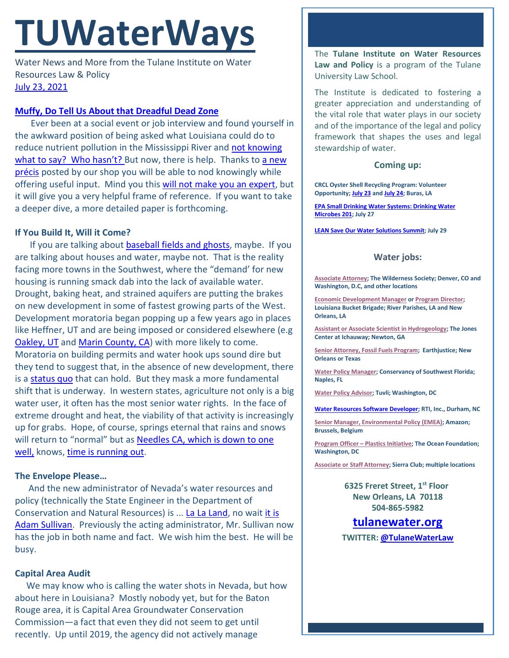# **TUWaterWays**

Water News and More from the Tulane Institute on Water Resources Law & Policy [July 23,](https://thisdayinwaterhistory.wordpress.com/) 2021

#### **[Muffy, Do Tell Us About that Dreadful Dead Zone](http://www.quickmeme.com/img/c7/c7d1f0eb50716b1f8b4e77649204adaeb831092933fd7dca8c617aeac76a9409.jpg)**

Ever been at a social event or job interview and found yourself in the awkward position of being asked what Louisiana could do to reduce nutrient pollution in the Mississippi River and [not knowing](https://www.youtube.com/watch?v=9HQj-G4F9OI) [what to say? Who hasn't?](https://www.youtube.com/watch?v=9HQj-G4F9OI) But now, there is help. Thanks to a new [précis](https://a21005ea-f0f0-4cff-a527-7c658373c740.filesusr.com/ugd/32079b_246d7b0b744747879b783c944f4326b8.pdf) posted by our shop you will be able to nod knowingly while offering useful input. Mind you this [will not make you an expert,](https://www.youtube.com/watch?v=fn3eD0imnhQ) but it will give you a very helpful frame of reference. If you want to take a deeper dive, a more detailed paper is forthcoming.

#### **If You Build It, Will it Come?**

If you are talking about [baseball fields and ghosts,](https://www.youtube.com/watch?v=Vk-gg0dVVDA) maybe. If you are talking about houses and water, maybe not. That is the reality facing more towns in the Southwest, where the "demand' for new housing is running smack dab into the lack of available water. Drought, baking heat, and strained aquifers are putting the brakes on new development in some of fastest growing parts of the West. Development moratoria began popping up a few years ago in places like Heffner, UT and are being imposed or considered elsewhere (e.g [Oakley, UT](https://www.msn.com/en-us/news/us/drought-in-utah-town-halts-growth/ar-AAMmxRM?li=BBorjTa&ocid=iehp) and [Marin County, CA\)](https://www.marinij.com/2021/05/19/marin-eyes-ban-on-new-water-service-hookups-amid-drought/) with more likely to come. Moratoria on building permits and water hook ups sound dire but they tend to suggest that, in the absence of new development, there is a [status quo](https://www.youtube.com/watch?v=ZYZpZr3Cv7I) that can hold. But they mask a more fundamental shift that is underway. In western states, agriculture not only is a big water user, it often has the most senior water rights. In the face of extreme drought and heat, the viability of that activity is increasingly up for grabs. Hope, of course, springs eternal that rains and snows will return to "normal" but as [Needles CA, which is](https://www.latimes.com/california/story/2021-07-20/needles-california-fights-drought-along-colorado-river) down to one [well,](https://www.latimes.com/california/story/2021-07-20/needles-california-fights-drought-along-colorado-river) knows, [time is running out.](https://www.youtube.com/watch?v=O2IuJPh6h_A)

### **The Envelope Please…**

 And the new administrator of Nevada's water resources and policy (technically the State Engineer in the Department of Conservation and Natural Resources) is ... [La La Land,](https://www.youtube.com/watch?v=8KeOxeuiZjs) no wait [it is](https://www.nevadaappeal.com/news/2021/jul/21/conservation-and-natural-resources-officially-name/)  [Adam Sullivan.](https://www.nevadaappeal.com/news/2021/jul/21/conservation-and-natural-resources-officially-name/) Previously the acting administrator, Mr. Sullivan now has the job in both name and fact. We wish him the best. He will be busy.

### **Capital Area Audit**

We may know who is calling the water shots in Nevada, but how about here in Louisiana? Mostly nobody yet, but for the Baton Rouge area, it is Capital Area Groundwater Conservation Commission—a fact that even they did not seem to get until recently. Up until 2019, the agency did not actively manage

The **Tulane Institute on Water Resources Law and Policy** is a program of the Tulane University Law School.

The Institute is dedicated to fostering a greater appreciation and understanding of the vital role that water plays in our society and of the importance of the legal and policy framework that shapes the uses and legal stewardship of water.

#### **Coming up:**

**CRCL Oyster Shell Recycling Program: Volunteer Opportunity[; July 23](https://connect.crcl.org/waiver?c1event1=395&c2event1=395) an[d July 24;](https://connect.crcl.org/waiver?c1event1=396&c2event1=396) Buras, LA**

**[EPA Small Drinking Water Systems: Drinking Water](https://www.epa.gov/water-research/small-drinking-water-systems-webinar-series)  [Microbes 201;](https://www.epa.gov/water-research/small-drinking-water-systems-webinar-series) July 27**

**[LEAN Save Our Water Solutions Summit;](https://www.manshiptheatre.org/show/save-our-water-br-solution-summit) July 29**

## **Water jobs:**

**[Associate Attorney;](https://workforcenow.adp.com/mascsr/default/mdf/recruitment/recruitment.html?cid=2a2cd446-3b6b-45ff-90d7-579775843522&ccId=19000101_000001&jobId=419435&source=CC2&lang=en_US) The Wilderness Society; Denver, CO and Washington, D.C, and other locations**

**[Economic Development Manager](https://labucketbrigade.org/now-hiring-economic-development-manager/) o[r Program Director;](https://labucketbrigade.org/now-hiring-program-director/)  Louisiana Bucket Brigade; River Parishes, LA and New Orleans, LA**

**[Assistant or Associate Scientist in Hydrogeology;](https://www.jonesctr.org/wp-content/uploads/2021/06/Hydrogeologist-Scientist-PD.pdf) The Jones Center at Ichauway; Newton, GA**

**[Senior Attorney, Fossil Fuels Program;](https://earthjustice.org/about/jobs/40606/senior-attorney-fossil-fuels-program) Earthjustice; New Orleans or Texas**

**[Water Policy Manager;](https://conservancy.topdoghrrecruiting.com/job/272081/water-policy-manager) Conservancy of Southwest Florida; Naples, FL**

**[Water Policy Advisor;](https://akima.taleo.net/careersection/akimallc_cs/jobdetail.ftl?job=579018&src=SNS-10085) Tuvli; Washington, DC**

**[Water Resources Software Developer;](https://rtiint.referrals.selectminds.com/domestic/jobs/water-resources-software-developer-5970?et=1CjKY7H5h) RTI, Inc., Durham, NC**

**[Senior Manager, Environmental Policy \(EMEA\);](https://amazon.jobs/en/jobs/1586735/senior-manager-environmental-policy-emea) Amazon; Brussels, Belgium**

**[Program Officer –](https://tof.bamboohr.com/jobs/view.php?id=28&source=aWQ9NA%3D%3D) Plastics Initiative; The Ocean Foundation; Washington, DC**

**[Associate or Staff Attorney;](https://phf.tbe.taleo.net/phf01/ats/careers/v2/viewRequisition?org=SIERRACLUB&cws=39&rid=1738) Sierra Club; multiple locations**

**6325 Freret Street, 1st Floor New Orleans, LA 70118 504-865-5982**

# **tulanewater.org**

**TWITTER: [@TulaneWaterLaw](http://www.twitter.com/TulaneWaterLaw)**